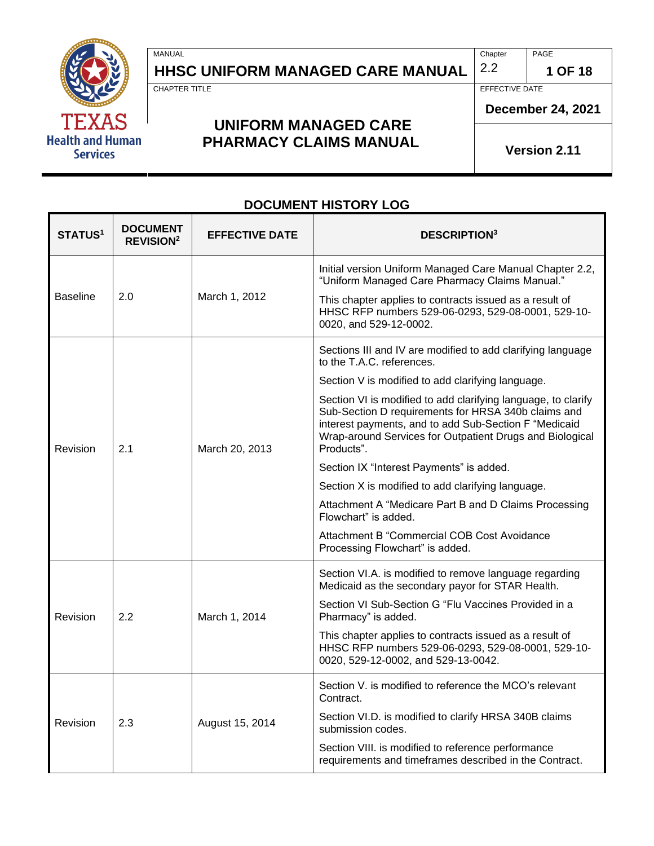

r

# **HHSC UNIFORM MANAGED CARE MANUAL**  $\begin{bmatrix} 2.2 \\ 1 \end{bmatrix}$  1 OF 18

MANUAL PAGE PROPERTY AND RELEASED AT A SERIES OF THE CHAPTER OF PAGE PAGE.

CHAPTER TITLE EFFECTIVE DATE

### **UNIFORM MANAGED CARE PHARMACY CLAIMS MANUAL**

**December 24, 2021**

**Version 2.11**

#### **DOCUMENT HISTORY LOG**

| <b>STATUS1</b>  | <b>DOCUMENT</b><br><b>REVISION<sup>2</sup></b> | <b>EFFECTIVE DATE</b> | <b>DESCRIPTION</b> <sup>3</sup>                                                                                                                                                                                                                         |
|-----------------|------------------------------------------------|-----------------------|---------------------------------------------------------------------------------------------------------------------------------------------------------------------------------------------------------------------------------------------------------|
|                 |                                                |                       | Initial version Uniform Managed Care Manual Chapter 2.2,<br>"Uniform Managed Care Pharmacy Claims Manual."                                                                                                                                              |
| <b>Baseline</b> | 2.0                                            | March 1, 2012         | This chapter applies to contracts issued as a result of<br>HHSC RFP numbers 529-06-0293, 529-08-0001, 529-10-<br>0020, and 529-12-0002.                                                                                                                 |
|                 |                                                |                       | Sections III and IV are modified to add clarifying language<br>to the T.A.C. references.                                                                                                                                                                |
|                 |                                                |                       | Section V is modified to add clarifying language.                                                                                                                                                                                                       |
| Revision        | 2.1                                            | March 20, 2013        | Section VI is modified to add clarifying language, to clarify<br>Sub-Section D requirements for HRSA 340b claims and<br>interest payments, and to add Sub-Section F "Medicaid<br>Wrap-around Services for Outpatient Drugs and Biological<br>Products". |
|                 |                                                |                       | Section IX "Interest Payments" is added.                                                                                                                                                                                                                |
|                 |                                                |                       | Section X is modified to add clarifying language.                                                                                                                                                                                                       |
|                 |                                                |                       | Attachment A "Medicare Part B and D Claims Processing<br>Flowchart" is added.                                                                                                                                                                           |
|                 |                                                |                       | Attachment B "Commercial COB Cost Avoidance<br>Processing Flowchart" is added.                                                                                                                                                                          |
|                 |                                                |                       | Section VI.A. is modified to remove language regarding<br>Medicaid as the secondary payor for STAR Health.                                                                                                                                              |
| Revision        | 2.2                                            | March 1, 2014         | Section VI Sub-Section G "Flu Vaccines Provided in a<br>Pharmacy" is added.                                                                                                                                                                             |
|                 |                                                |                       | This chapter applies to contracts issued as a result of<br>HHSC RFP numbers 529-06-0293, 529-08-0001, 529-10-<br>0020, 529-12-0002, and 529-13-0042.                                                                                                    |
|                 | 2.3                                            | August 15, 2014       | Section V. is modified to reference the MCO's relevant<br>Contract.                                                                                                                                                                                     |
| Revision        |                                                |                       | Section VI.D. is modified to clarify HRSA 340B claims<br>submission codes.                                                                                                                                                                              |
|                 |                                                |                       | Section VIII. is modified to reference performance<br>requirements and timeframes described in the Contract.                                                                                                                                            |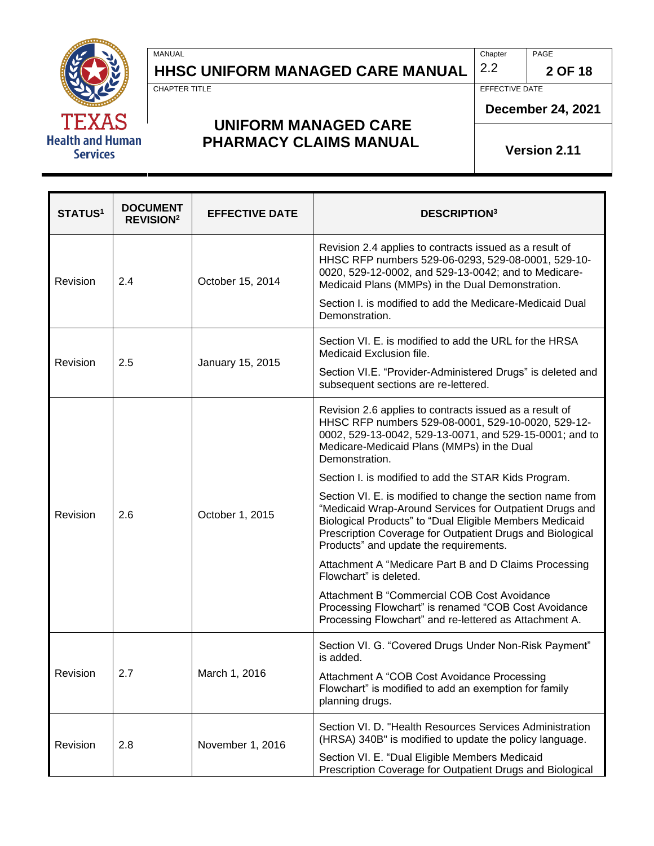

## **HHSC UNIFORM MANAGED CARE MANUAL**  $\begin{bmatrix} 2.2 \\ 2.2 \end{bmatrix}$  2 OF 18

MANUAL PAGE PROPERTY AND RELEASED AT A SERIES OF THE CHAPTER OF PAGE PAGE.

CHAPTER TITLE EFFECTIVE DATE

**December 24, 2021**

#### **UNIFORM MANAGED CARE PHARMACY CLAIMS MANUAL**

**Version 2.11**

| <b>STATUS1</b> | <b>DOCUMENT</b><br><b>REVISION<sup>2</sup></b> | <b>EFFECTIVE DATE</b> | <b>DESCRIPTION3</b>                                                                                                                                                                                                                                                                     |
|----------------|------------------------------------------------|-----------------------|-----------------------------------------------------------------------------------------------------------------------------------------------------------------------------------------------------------------------------------------------------------------------------------------|
| Revision       | 2.4                                            | October 15, 2014      | Revision 2.4 applies to contracts issued as a result of<br>HHSC RFP numbers 529-06-0293, 529-08-0001, 529-10-<br>0020, 529-12-0002, and 529-13-0042; and to Medicare-<br>Medicaid Plans (MMPs) in the Dual Demonstration.                                                               |
|                |                                                |                       | Section I. is modified to add the Medicare-Medicaid Dual<br>Demonstration.                                                                                                                                                                                                              |
| Revision       | 2.5                                            |                       | Section VI. E. is modified to add the URL for the HRSA<br>Medicaid Exclusion file.                                                                                                                                                                                                      |
|                |                                                | January 15, 2015      | Section VI.E. "Provider-Administered Drugs" is deleted and<br>subsequent sections are re-lettered.                                                                                                                                                                                      |
|                |                                                |                       | Revision 2.6 applies to contracts issued as a result of<br>HHSC RFP numbers 529-08-0001, 529-10-0020, 529-12-<br>0002, 529-13-0042, 529-13-0071, and 529-15-0001; and to<br>Medicare-Medicaid Plans (MMPs) in the Dual<br>Demonstration.                                                |
| Revision       | 2.6                                            | October 1, 2015       | Section I. is modified to add the STAR Kids Program.                                                                                                                                                                                                                                    |
|                |                                                |                       | Section VI. E. is modified to change the section name from<br>"Medicaid Wrap-Around Services for Outpatient Drugs and<br>Biological Products" to "Dual Eligible Members Medicaid<br>Prescription Coverage for Outpatient Drugs and Biological<br>Products" and update the requirements. |
|                |                                                |                       | Attachment A "Medicare Part B and D Claims Processing<br>Flowchart" is deleted.                                                                                                                                                                                                         |
|                |                                                |                       | Attachment B "Commercial COB Cost Avoidance<br>Processing Flowchart" is renamed "COB Cost Avoidance<br>Processing Flowchart" and re-lettered as Attachment A.                                                                                                                           |
|                |                                                |                       | Section VI. G. "Covered Drugs Under Non-Risk Payment"<br>is added.                                                                                                                                                                                                                      |
| Revision       | 2.7                                            | March 1, 2016         | Attachment A "COB Cost Avoidance Processing<br>Flowchart" is modified to add an exemption for family<br>planning drugs.                                                                                                                                                                 |
| Revision       | 2.8                                            | November 1, 2016      | Section VI. D. "Health Resources Services Administration<br>(HRSA) 340B" is modified to update the policy language.                                                                                                                                                                     |
|                |                                                |                       | Section VI. E. "Dual Eligible Members Medicaid<br>Prescription Coverage for Outpatient Drugs and Biological                                                                                                                                                                             |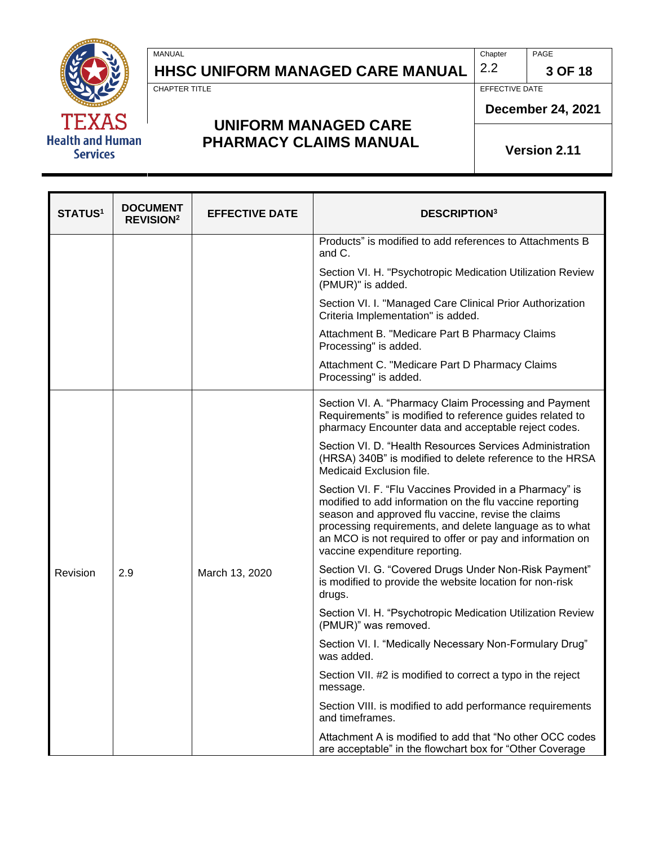

**HHSC UNIFORM MANAGED CARE MANUAL**  $\begin{bmatrix} 2.2 \\ 3 \end{bmatrix}$  3 OF 18

MANUAL PAGE PROPERTY AND RELEASED AT A SERIES OF THE CHAPTER OF PAGE PAGE.

CHAPTER TITLE EFFECTIVE DATE

### **UNIFORM MANAGED CARE PHARMACY CLAIMS MANUAL**

**December 24, 2021**

**Version 2.11**

| <b>STATUS<sup>1</sup></b> | <b>DOCUMENT</b><br><b>REVISION<sup>2</sup></b> | <b>EFFECTIVE DATE</b> | <b>DESCRIPTION3</b>                                                                                                                                                                                                                                                                                                                 |  |
|---------------------------|------------------------------------------------|-----------------------|-------------------------------------------------------------------------------------------------------------------------------------------------------------------------------------------------------------------------------------------------------------------------------------------------------------------------------------|--|
|                           |                                                |                       | Products" is modified to add references to Attachments B<br>and C.                                                                                                                                                                                                                                                                  |  |
|                           |                                                |                       | Section VI. H. "Psychotropic Medication Utilization Review<br>(PMUR)" is added.                                                                                                                                                                                                                                                     |  |
|                           |                                                |                       | Section VI. I. "Managed Care Clinical Prior Authorization<br>Criteria Implementation" is added.                                                                                                                                                                                                                                     |  |
|                           |                                                |                       | Attachment B. "Medicare Part B Pharmacy Claims<br>Processing" is added.                                                                                                                                                                                                                                                             |  |
|                           |                                                |                       | Attachment C. "Medicare Part D Pharmacy Claims<br>Processing" is added.                                                                                                                                                                                                                                                             |  |
|                           |                                                |                       | Section VI. A. "Pharmacy Claim Processing and Payment<br>Requirements" is modified to reference guides related to<br>pharmacy Encounter data and acceptable reject codes.                                                                                                                                                           |  |
|                           |                                                |                       | Section VI. D. "Health Resources Services Administration<br>(HRSA) 340B" is modified to delete reference to the HRSA<br>Medicaid Exclusion file.                                                                                                                                                                                    |  |
|                           |                                                |                       | Section VI. F. "Flu Vaccines Provided in a Pharmacy" is<br>modified to add information on the flu vaccine reporting<br>season and approved flu vaccine, revise the claims<br>processing requirements, and delete language as to what<br>an MCO is not required to offer or pay and information on<br>vaccine expenditure reporting. |  |
| Revision                  | 2.9                                            | March 13, 2020        | Section VI. G. "Covered Drugs Under Non-Risk Payment"<br>is modified to provide the website location for non-risk<br>drugs.                                                                                                                                                                                                         |  |
|                           |                                                |                       | Section VI. H. "Psychotropic Medication Utilization Review<br>(PMUR)" was removed.                                                                                                                                                                                                                                                  |  |
|                           |                                                |                       | Section VI. I. "Medically Necessary Non-Formulary Drug"<br>was added.                                                                                                                                                                                                                                                               |  |
|                           |                                                |                       | Section VII. #2 is modified to correct a typo in the reject<br>message.                                                                                                                                                                                                                                                             |  |
|                           |                                                |                       | Section VIII. is modified to add performance requirements<br>and timeframes.                                                                                                                                                                                                                                                        |  |
|                           |                                                |                       | Attachment A is modified to add that "No other OCC codes<br>are acceptable" in the flowchart box for "Other Coverage                                                                                                                                                                                                                |  |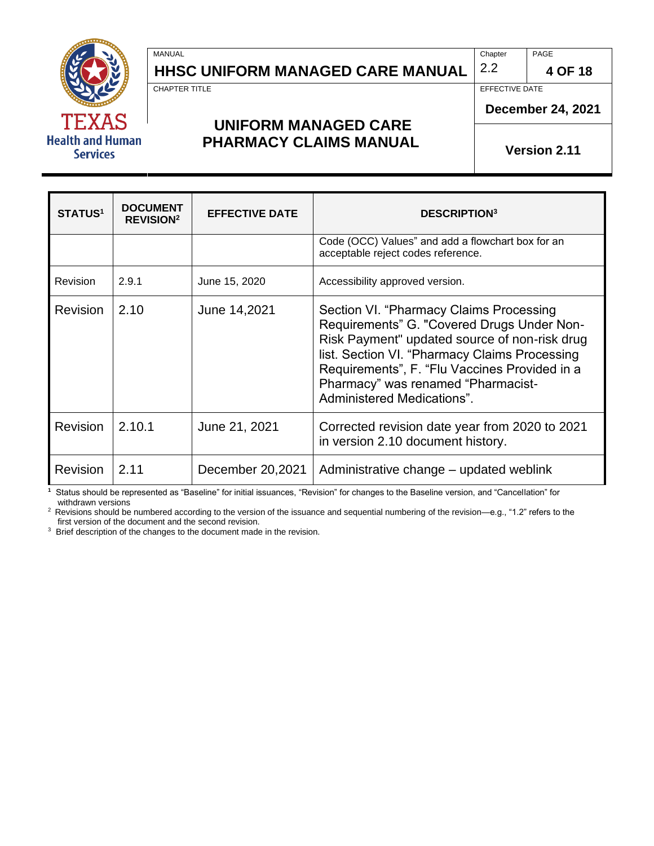

## **HHSC UNIFORM MANAGED CARE MANUAL**  $\begin{bmatrix} 2.2 \\ 4 \end{bmatrix}$  **4 OF 18**

MANUAL PAGE PROPERTY AND RELEASED AT A SERIES OF THE CHAPTER OF PAGE PAGE.

CHAPTER TITLE **EFFECTIVE** 

#### **UNIFORM MANAGED CARE PHARMACY CLAIMS MANUAL**

**December 24, 2021**

**Version 2.11**

| <b>STATUS1</b>  | <b>DOCUMENT</b><br><b>REVISION<sup>2</sup></b> | <b>EFFECTIVE DATE</b> | <b>DESCRIPTION</b> <sup>3</sup>                                                                                                                                                                                                                                                                              |
|-----------------|------------------------------------------------|-----------------------|--------------------------------------------------------------------------------------------------------------------------------------------------------------------------------------------------------------------------------------------------------------------------------------------------------------|
|                 |                                                |                       | Code (OCC) Values" and add a flowchart box for an<br>acceptable reject codes reference.                                                                                                                                                                                                                      |
| <b>Revision</b> | 2.9.1                                          | June 15, 2020         | Accessibility approved version.                                                                                                                                                                                                                                                                              |
| <b>Revision</b> | 2.10                                           | June 14,2021          | Section VI. "Pharmacy Claims Processing<br>Requirements" G. "Covered Drugs Under Non-<br>Risk Payment" updated source of non-risk drug<br>list. Section VI. "Pharmacy Claims Processing<br>Requirements", F. "Flu Vaccines Provided in a<br>Pharmacy" was renamed "Pharmacist-<br>Administered Medications". |
| <b>Revision</b> | 2.10.1                                         | June 21, 2021         | Corrected revision date year from 2020 to 2021<br>in version 2.10 document history.                                                                                                                                                                                                                          |
| <b>Revision</b> | 2.11                                           | December 20,2021      | Administrative change – updated weblink                                                                                                                                                                                                                                                                      |

**1** Status should be represented as "Baseline" for initial issuances, "Revision" for changes to the Baseline version, and "Cancellation" for withdrawn versions

<sup>2</sup> Revisions should be numbered according to the version of the issuance and sequential numbering of the revision—e.g., "1.2" refers to the first version of the document and the second revision.

<sup>3</sup> Brief description of the changes to the document made in the revision.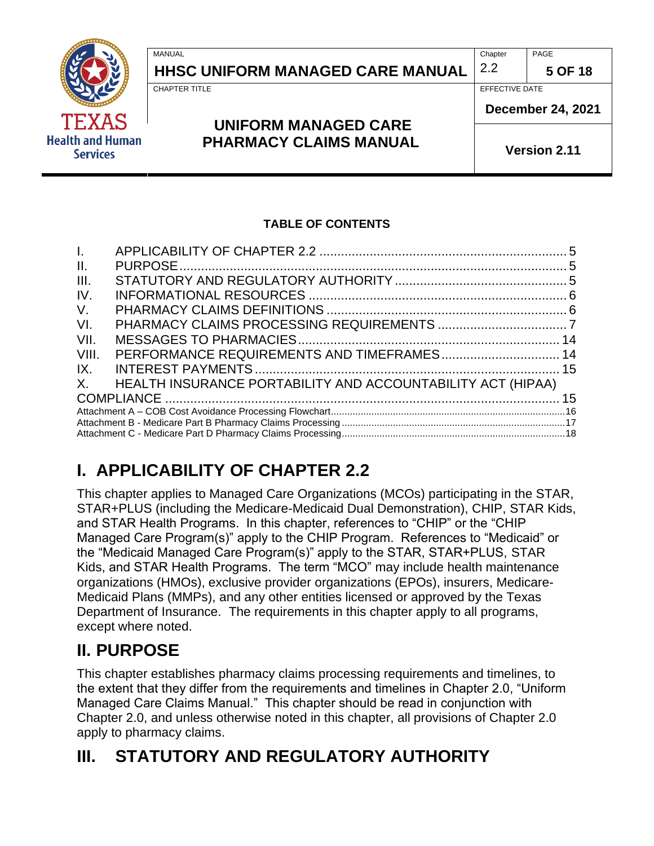|                                            | MANUAL                           | Chapter        | PAGE                     |  |
|--------------------------------------------|----------------------------------|----------------|--------------------------|--|
|                                            | HHSC UNIFORM MANAGED CARE MANUAL | 2.2            | 5 OF 18                  |  |
|                                            | <b>CHAPTER TITLE</b>             | EFFECTIVE DATE |                          |  |
| <b>TEXAS</b>                               | <b>UNIFORM MANAGED CARE</b>      |                | <b>December 24, 2021</b> |  |
| <b>Health and Human</b><br><b>Services</b> | <b>PHARMACY CLAIMS MANUAL</b>    |                | <b>Version 2.11</b>      |  |

#### **TABLE OF CONTENTS**

| $\mathbf{L}$    |                                                             |  |
|-----------------|-------------------------------------------------------------|--|
| $\mathbf{II}$ . |                                                             |  |
| III.            |                                                             |  |
| IV.             |                                                             |  |
| V.              |                                                             |  |
| VI.             |                                                             |  |
| VII.            |                                                             |  |
| VIII.           |                                                             |  |
| IX.             |                                                             |  |
| $X_{-}$         | HEALTH INSURANCE PORTABILITY AND ACCOUNTABILITY ACT (HIPAA) |  |
|                 |                                                             |  |
|                 |                                                             |  |
|                 |                                                             |  |
|                 |                                                             |  |

# <span id="page-4-0"></span>**I. APPLICABILITY OF CHAPTER 2.2**

This chapter applies to Managed Care Organizations (MCOs) participating in the STAR, STAR+PLUS (including the Medicare-Medicaid Dual Demonstration), CHIP, STAR Kids, and STAR Health Programs. In this chapter, references to "CHIP" or the "CHIP Managed Care Program(s)" apply to the CHIP Program. References to "Medicaid" or the "Medicaid Managed Care Program(s)" apply to the STAR, STAR+PLUS, STAR Kids, and STAR Health Programs. The term "MCO" may include health maintenance organizations (HMOs), exclusive provider organizations (EPOs), insurers, Medicare-Medicaid Plans (MMPs), and any other entities licensed or approved by the Texas Department of Insurance. The requirements in this chapter apply to all programs, except where noted.

## <span id="page-4-1"></span>**II. PURPOSE**

This chapter establishes pharmacy claims processing requirements and timelines, to the extent that they differ from the requirements and timelines in Chapter 2.0, "Uniform Managed Care Claims Manual." This chapter should be read in conjunction with Chapter 2.0, and unless otherwise noted in this chapter, all provisions of Chapter 2.0 apply to pharmacy claims.

# <span id="page-4-2"></span>**III. STATUTORY AND REGULATORY AUTHORITY**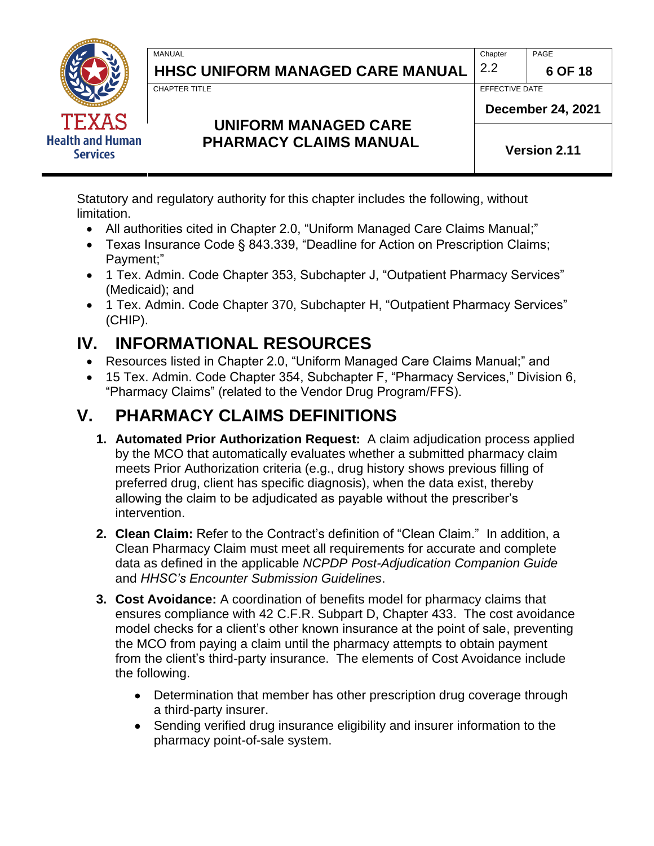

**HHSC UNIFORM MANAGED CARE MANUAL**  $\begin{bmatrix} 2.2 \\ \end{bmatrix}$  6 OF 18

MANUAL PAGE PROPERTY AND RELEASED AT A SERIES OF THE CHAPTER OF PAGE PAGE.

CHAPTER TITLE **EFFECTIVE DATE** 

**December 24, 2021**

### **UNIFORM MANAGED CARE PHARMACY CLAIMS MANUAL**

**Version 2.11**

Statutory and regulatory authority for this chapter includes the following, without limitation.

- All authorities cited in Chapter 2.0, "Uniform Managed Care Claims Manual;"
- Texas Insurance Code § 843.339, "Deadline for Action on Prescription Claims; Payment;"
- 1 Tex. Admin. Code Chapter 353, Subchapter J, "Outpatient Pharmacy Services" (Medicaid); and
- 1 Tex. Admin. Code Chapter 370, Subchapter H, "Outpatient Pharmacy Services" (CHIP).

# <span id="page-5-0"></span>**IV. INFORMATIONAL RESOURCES**

- Resources listed in Chapter 2.0, "Uniform Managed Care Claims Manual;" and
- 15 Tex. Admin. Code Chapter 354, Subchapter F, "Pharmacy Services," Division 6, "Pharmacy Claims" (related to the Vendor Drug Program/FFS).

# <span id="page-5-1"></span>**V. PHARMACY CLAIMS DEFINITIONS**

- **1. Automated Prior Authorization Request:** A claim adjudication process applied by the MCO that automatically evaluates whether a submitted pharmacy claim meets Prior Authorization criteria (e.g., drug history shows previous filling of preferred drug, client has specific diagnosis), when the data exist, thereby allowing the claim to be adjudicated as payable without the prescriber's intervention.
- **2. Clean Claim:** Refer to the Contract's definition of "Clean Claim." In addition, a Clean Pharmacy Claim must meet all requirements for accurate and complete data as defined in the applicable *NCPDP Post-Adjudication Companion Guide* and *HHSC's Encounter Submission Guidelines*.
- **3. Cost Avoidance:** A coordination of benefits model for pharmacy claims that ensures compliance with 42 C.F.R. Subpart D, Chapter 433. The cost avoidance model checks for a client's other known insurance at the point of sale, preventing the MCO from paying a claim until the pharmacy attempts to obtain payment from the client's third-party insurance. The elements of Cost Avoidance include the following.
	- Determination that member has other prescription drug coverage through a third-party insurer.
	- Sending verified drug insurance eligibility and insurer information to the pharmacy point-of-sale system.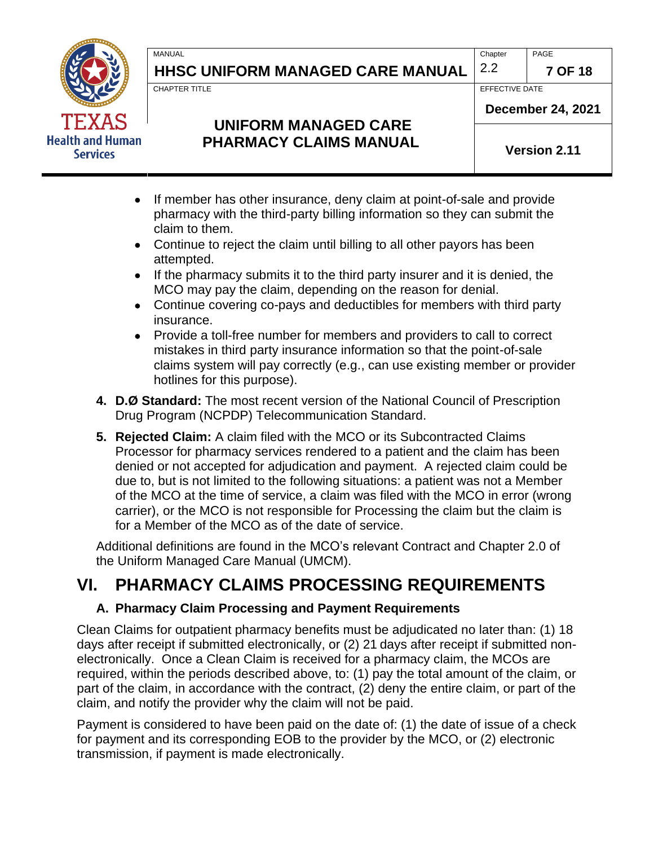

# **HHSC UNIFORM MANAGED CARE MANUAL 2.2 7 OF 18**

MANUAL PAGE PROPERTY AND RELEASED AT A SERIES OF THE CHAPTER OF PAGE PAGE.

CHAPTER TITLE **EFFECTIVE DATE** 

## **UNIFORM MANAGED CARE PHARMACY CLAIMS MANUAL**

**Version 2.11**

**December 24, 2021**

- If member has other insurance, deny claim at point-of-sale and provide pharmacy with the third-party billing information so they can submit the claim to them.
- Continue to reject the claim until billing to all other payors has been attempted.
- If the pharmacy submits it to the third party insurer and it is denied, the MCO may pay the claim, depending on the reason for denial.
- Continue covering co-pays and deductibles for members with third party insurance.
- Provide a toll-free number for members and providers to call to correct mistakes in third party insurance information so that the point-of-sale claims system will pay correctly (e.g., can use existing member or provider hotlines for this purpose).
- **4. D.Ø Standard:** The most recent version of the National Council of Prescription Drug Program (NCPDP) Telecommunication Standard.
- **5. Rejected Claim:** A claim filed with the MCO or its Subcontracted Claims Processor for pharmacy services rendered to a patient and the claim has been denied or not accepted for adjudication and payment. A rejected claim could be due to, but is not limited to the following situations: a patient was not a Member of the MCO at the time of service, a claim was filed with the MCO in error (wrong carrier), or the MCO is not responsible for Processing the claim but the claim is for a Member of the MCO as of the date of service.

Additional definitions are found in the MCO's relevant Contract and Chapter 2.0 of the Uniform Managed Care Manual (UMCM).

# <span id="page-6-0"></span>**VI. PHARMACY CLAIMS PROCESSING REQUIREMENTS**

#### **A. Pharmacy Claim Processing and Payment Requirements**

Clean Claims for outpatient pharmacy benefits must be adjudicated no later than: (1) 18 days after receipt if submitted electronically, or (2) 21 days after receipt if submitted nonelectronically. Once a Clean Claim is received for a pharmacy claim, the MCOs are required, within the periods described above, to: (1) pay the total amount of the claim, or part of the claim, in accordance with the contract, (2) deny the entire claim, or part of the claim, and notify the provider why the claim will not be paid.

Payment is considered to have been paid on the date of: (1) the date of issue of a check for payment and its corresponding EOB to the provider by the MCO, or (2) electronic transmission, if payment is made electronically.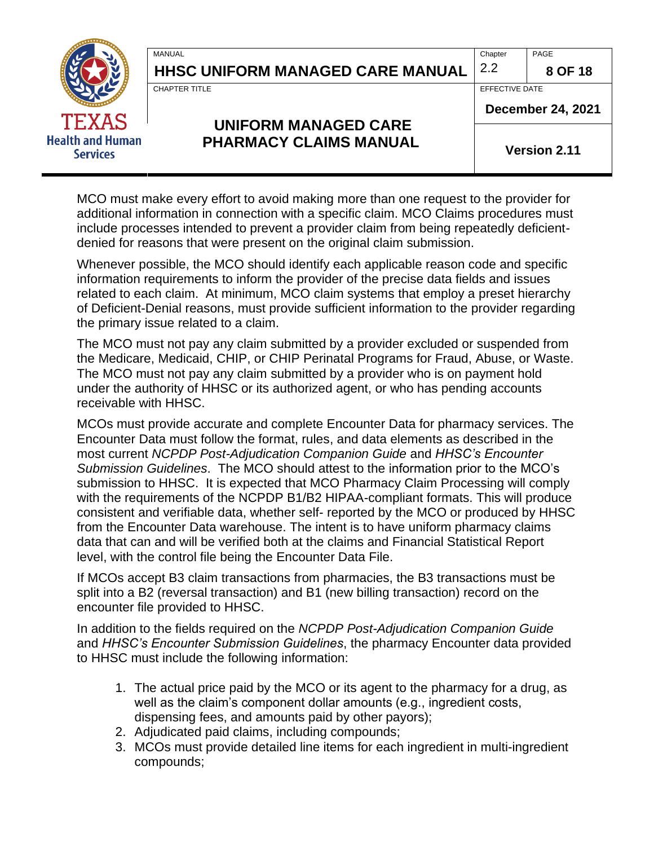

**HHSC UNIFORM MANAGED CARE MANUAL**  $\vert$  **2.2**  $\vert$  **8 OF 18** 

MANUAL PAGE PROPERTY AND RELEASED AT A SERIES OF THE CHAPTER OF PAGE PAGE.

CHAPTER TITLE **EFFECTIVE DATE** 

### **UNIFORM MANAGED CARE PHARMACY CLAIMS MANUAL**

**December 24, 2021**

**Version 2.11**

MCO must make every effort to avoid making more than one request to the provider for additional information in connection with a specific claim. MCO Claims procedures must include processes intended to prevent a provider claim from being repeatedly deficientdenied for reasons that were present on the original claim submission.

Whenever possible, the MCO should identify each applicable reason code and specific information requirements to inform the provider of the precise data fields and issues related to each claim. At minimum, MCO claim systems that employ a preset hierarchy of Deficient-Denial reasons, must provide sufficient information to the provider regarding the primary issue related to a claim.

The MCO must not pay any claim submitted by a provider excluded or suspended from the Medicare, Medicaid, CHIP, or CHIP Perinatal Programs for Fraud, Abuse, or Waste. The MCO must not pay any claim submitted by a provider who is on payment hold under the authority of HHSC or its authorized agent, or who has pending accounts receivable with HHSC.

MCOs must provide accurate and complete Encounter Data for pharmacy services. The Encounter Data must follow the format, rules, and data elements as described in the most current *NCPDP Post-Adjudication Companion Guide* and *HHSC's Encounter Submission Guidelines*. The MCO should attest to the information prior to the MCO's submission to HHSC. It is expected that MCO Pharmacy Claim Processing will comply with the requirements of the NCPDP B1/B2 HIPAA-compliant formats. This will produce consistent and verifiable data, whether self- reported by the MCO or produced by HHSC from the Encounter Data warehouse. The intent is to have uniform pharmacy claims data that can and will be verified both at the claims and Financial Statistical Report level, with the control file being the Encounter Data File.

If MCOs accept B3 claim transactions from pharmacies, the B3 transactions must be split into a B2 (reversal transaction) and B1 (new billing transaction) record on the encounter file provided to HHSC.

In addition to the fields required on the *NCPDP Post-Adjudication Companion Guide* and *HHSC's Encounter Submission Guidelines*, the pharmacy Encounter data provided to HHSC must include the following information:

- 1. The actual price paid by the MCO or its agent to the pharmacy for a drug, as well as the claim's component dollar amounts (e.g., ingredient costs, dispensing fees, and amounts paid by other payors);
- 2. Adjudicated paid claims, including compounds;
- 3. MCOs must provide detailed line items for each ingredient in multi-ingredient compounds;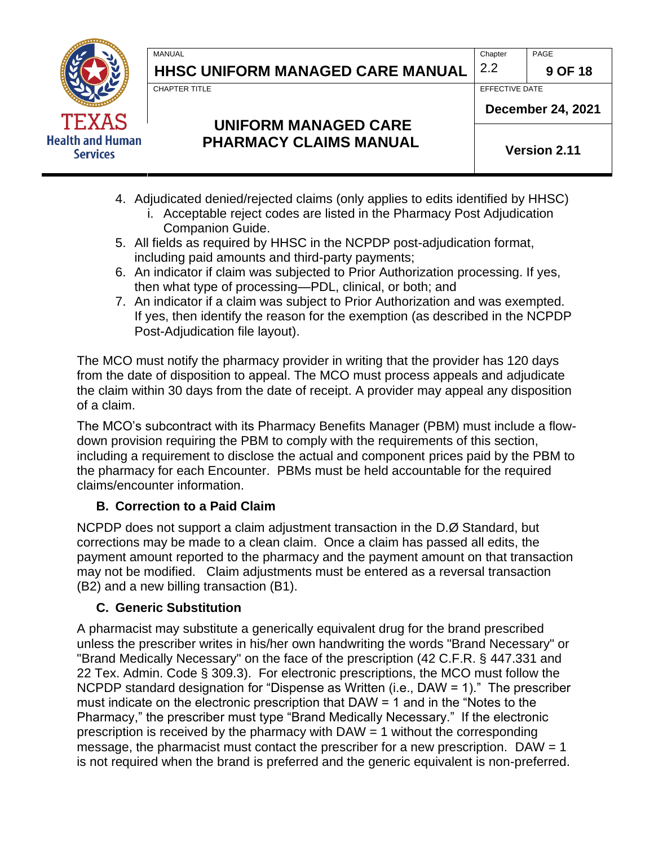

**HHSC UNIFORM MANAGED CARE MANUAL**  $\begin{bmatrix} 2.2 \\ \end{bmatrix}$  9 OF 18

CHAPTER TITLE **EFFECTIVE DATE** 

## **UNIFORM MANAGED CARE PHARMACY CLAIMS MANUAL**

**December 24, 2021**

**Version 2.11**

- 4. Adjudicated denied/rejected claims (only applies to edits identified by HHSC)
	- i. Acceptable reject codes are listed in the Pharmacy Post Adjudication Companion Guide.
- 5. All fields as required by HHSC in the NCPDP post-adjudication format, including paid amounts and third-party payments;
- 6. An indicator if claim was subjected to Prior Authorization processing. If yes, then what type of processing—PDL, clinical, or both; and
- 7. An indicator if a claim was subject to Prior Authorization and was exempted. If yes, then identify the reason for the exemption (as described in the NCPDP Post-Adjudication file layout).

The MCO must notify the pharmacy provider in writing that the provider has 120 days from the date of disposition to appeal. The MCO must process appeals and adjudicate the claim within 30 days from the date of receipt. A provider may appeal any disposition of a claim.

The MCO's subcontract with its Pharmacy Benefits Manager (PBM) must include a flowdown provision requiring the PBM to comply with the requirements of this section, including a requirement to disclose the actual and component prices paid by the PBM to the pharmacy for each Encounter. PBMs must be held accountable for the required claims/encounter information.

#### **B. Correction to a Paid Claim**

NCPDP does not support a claim adjustment transaction in the D.Ø Standard, but corrections may be made to a clean claim. Once a claim has passed all edits, the payment amount reported to the pharmacy and the payment amount on that transaction may not be modified. Claim adjustments must be entered as a reversal transaction (B2) and a new billing transaction (B1).

#### **C. Generic Substitution**

A pharmacist may substitute a generically equivalent drug for the brand prescribed unless the prescriber writes in his/her own handwriting the words "Brand Necessary" or "Brand Medically Necessary" on the face of the prescription (42 C.F.R. § 447.331 and 22 Tex. Admin. Code § 309.3). For electronic prescriptions, the MCO must follow the NCPDP standard designation for "Dispense as Written (i.e., DAW = 1)." The prescriber must indicate on the electronic prescription that DAW = 1 and in the "Notes to the Pharmacy," the prescriber must type "Brand Medically Necessary." If the electronic prescription is received by the pharmacy with DAW = 1 without the corresponding message, the pharmacist must contact the prescriber for a new prescription.  $DAW = 1$ is not required when the brand is preferred and the generic equivalent is non-preferred.

MANUAL PAGE PROPERTY AND RELEASED AT A SERIES OF THE CHAPTER OF PAGE PAGE.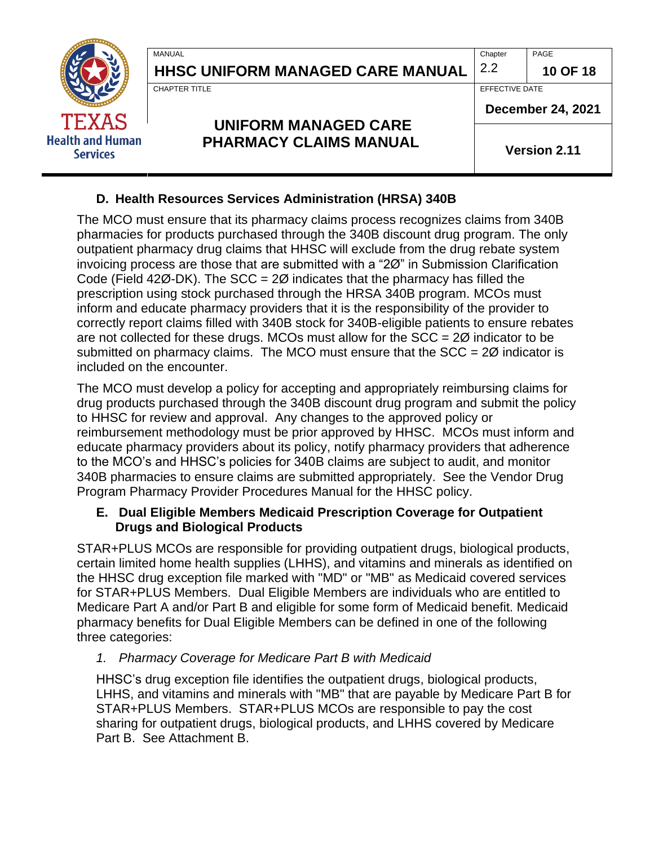| <b>TEXAS</b><br><b>Health and Human</b><br><b>Services</b> | <b>MANUAL</b><br><b>HHSC UNIFORM MANAGED CARE MANUAL</b>     | Chapter<br>2.2                             | PAGE<br>10 OF 18    |
|------------------------------------------------------------|--------------------------------------------------------------|--------------------------------------------|---------------------|
|                                                            | <b>CHAPTER TITLE</b>                                         | EFFECTIVE DATE<br><b>December 24, 2021</b> |                     |
|                                                            | <b>UNIFORM MANAGED CARE</b><br><b>PHARMACY CLAIMS MANUAL</b> |                                            | <b>Version 2.11</b> |

#### **D. Health Resources Services Administration (HRSA) 340B**

ř.

The MCO must ensure that its pharmacy claims process recognizes claims from 340B pharmacies for products purchased through the 340B discount drug program. The only outpatient pharmacy drug claims that HHSC will exclude from the drug rebate system invoicing process are those that are submitted with a "2Ø" in Submission Clarification Code (Field 42 $\varnothing$ -DK). The SCC = 2 $\varnothing$  indicates that the pharmacy has filled the prescription using stock purchased through the HRSA 340B program. MCOs must inform and educate pharmacy providers that it is the responsibility of the provider to correctly report claims filled with 340B stock for 340B-eligible patients to ensure rebates are not collected for these drugs. MCOs must allow for the  $SCC = 2\emptyset$  indicator to be submitted on pharmacy claims. The MCO must ensure that the  $SCC = 2\emptyset$  indicator is included on the encounter.

The MCO must develop a policy for accepting and appropriately reimbursing claims for drug products purchased through the 340B discount drug program and submit the policy to HHSC for review and approval. Any changes to the approved policy or reimbursement methodology must be prior approved by HHSC. MCOs must inform and educate pharmacy providers about its policy, notify pharmacy providers that adherence to the MCO's and HHSC's policies for 340B claims are subject to audit, and monitor 340B pharmacies to ensure claims are submitted appropriately. See the Vendor Drug Program Pharmacy Provider Procedures Manual for the HHSC policy.

#### **E. Dual Eligible Members Medicaid Prescription Coverage for Outpatient Drugs and Biological Products**

STAR+PLUS MCOs are responsible for providing outpatient drugs, biological products, certain limited home health supplies (LHHS), and vitamins and minerals as identified on the HHSC drug exception file marked with "MD" or "MB" as Medicaid covered services for STAR+PLUS Members. Dual Eligible Members are individuals who are entitled to Medicare Part A and/or Part B and eligible for some form of Medicaid benefit. Medicaid pharmacy benefits for Dual Eligible Members can be defined in one of the following three categories:

#### *1. Pharmacy Coverage for Medicare Part B with Medicaid*

HHSC's drug exception file identifies the outpatient drugs, biological products, LHHS, and vitamins and minerals with "MB" that are payable by Medicare Part B for STAR+PLUS Members. STAR+PLUS MCOs are responsible to pay the cost sharing for outpatient drugs, biological products, and LHHS covered by Medicare Part B. See Attachment B.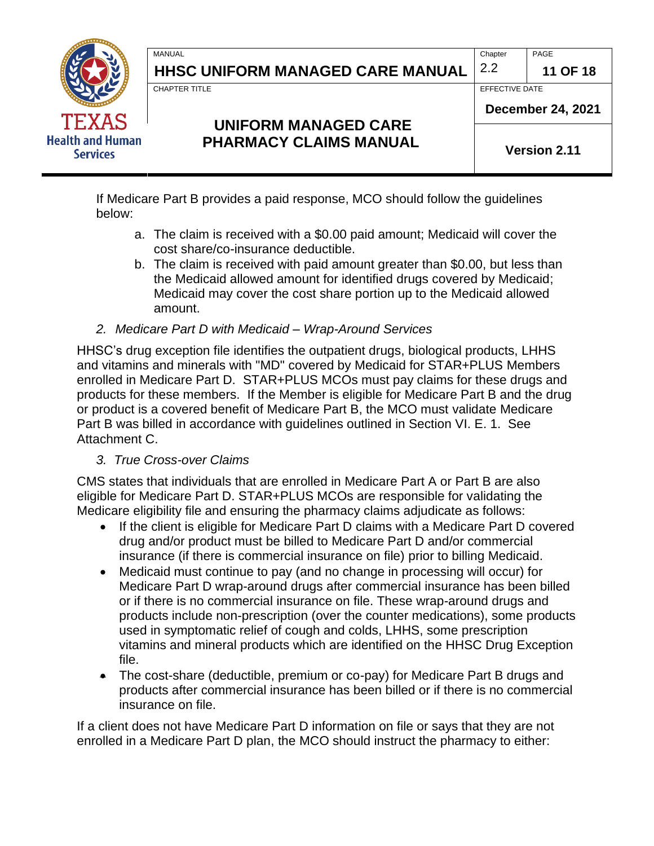

**HHSC UNIFORM MANAGED CARE MANUAL**  $|2.2|$  11 OF 18

CHAPTER TITLE **EFFECTIVE DATE** 

## **UNIFORM MANAGED CARE PHARMACY CLAIMS MANUAL**

**December 24, 2021**

**Version 2.11**

If Medicare Part B provides a paid response, MCO should follow the guidelines below:

a. The claim is received with a \$0.00 paid amount; Medicaid will cover the cost share/co-insurance deductible.

MANUAL PAGE PROPERTY AND RELEASED AT A SERIES OF THE CHAPTER OF PAGE PAGE.

- b. The claim is received with paid amount greater than \$0.00, but less than the Medicaid allowed amount for identified drugs covered by Medicaid; Medicaid may cover the cost share portion up to the Medicaid allowed amount.
- *2. Medicare Part D with Medicaid – Wrap-Around Services*

HHSC's drug exception file identifies the outpatient drugs, biological products, LHHS and vitamins and minerals with "MD" covered by Medicaid for STAR+PLUS Members enrolled in Medicare Part D. STAR+PLUS MCOs must pay claims for these drugs and products for these members. If the Member is eligible for Medicare Part B and the drug or product is a covered benefit of Medicare Part B, the MCO must validate Medicare Part B was billed in accordance with guidelines outlined in Section VI. E. 1. See Attachment C.

#### *3. True Cross-over Claims*

CMS states that individuals that are enrolled in Medicare Part A or Part B are also eligible for Medicare Part D. STAR+PLUS MCOs are responsible for validating the Medicare eligibility file and ensuring the pharmacy claims adjudicate as follows:

- If the client is eligible for Medicare Part D claims with a Medicare Part D covered drug and/or product must be billed to Medicare Part D and/or commercial insurance (if there is commercial insurance on file) prior to billing Medicaid.
- Medicaid must continue to pay (and no change in processing will occur) for Medicare Part D wrap-around drugs after commercial insurance has been billed or if there is no commercial insurance on file. These wrap-around drugs and products include non-prescription (over the counter medications), some products used in symptomatic relief of cough and colds, LHHS, some prescription vitamins and mineral products which are identified on the HHSC Drug Exception file.
- The cost-share (deductible, premium or co-pay) for Medicare Part B drugs and products after commercial insurance has been billed or if there is no commercial insurance on file.

If a client does not have Medicare Part D information on file or says that they are not enrolled in a Medicare Part D plan, the MCO should instruct the pharmacy to either: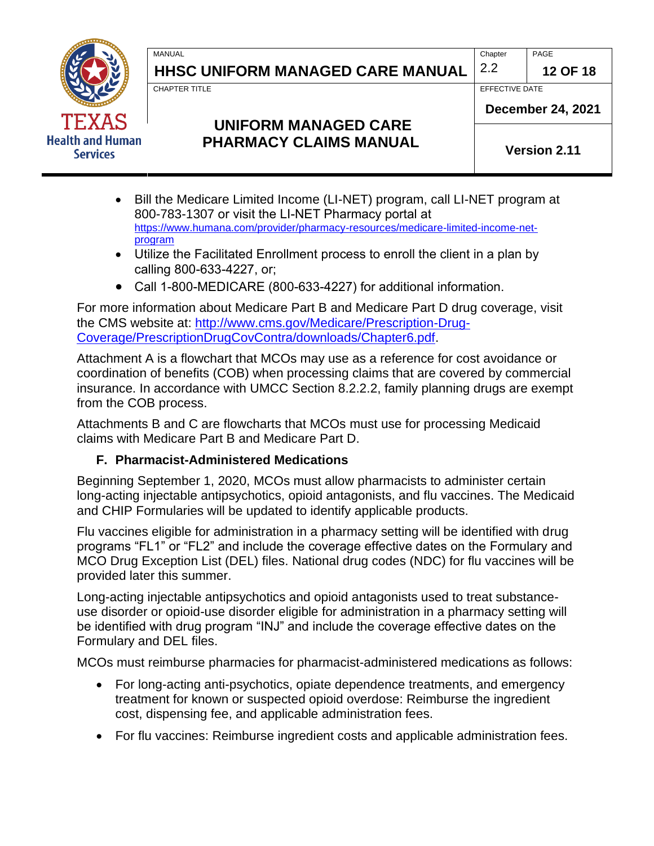

# **HHSC UNIFORM MANAGED CARE MANUAL**  $\begin{bmatrix} 2.2 \\ \end{bmatrix}$  12 OF 18

MANUAL PAGE PROPERTY AND RELEASED AT A SERIES OF THE CHAPTER OF PAGE PAGE.

CHAPTER TITLE **EFFECTIVE DATE** 

## **UNIFORM MANAGED CARE PHARMACY CLAIMS MANUAL**

**Version 2.11**

**December 24, 2021**

- Bill the Medicare Limited Income (LI-NET) program, call LI-NET program at 800-783-1307 or visit the LI-NET Pharmacy portal at [https://www.humana.com/provider/pharmacy-resources/medicare-limited-income-net](https://www.humana.com/provider/pharmacy-resources/medicare-limited-income-net-program)[program](https://www.humana.com/provider/pharmacy-resources/medicare-limited-income-net-program)
- Utilize the Facilitated Enrollment process to enroll the client in a plan by calling 800-633-4227, or;
- Call 1-800-MEDICARE (800-633-4227) for additional information.

For more information about Medicare Part B and Medicare Part D drug coverage, visit the CMS website at: [http://www.cms.gov/Medicare/Prescription-Drug-](http://www.cms.gov/Medicare/Prescription-Drug-Coverage/PrescriptionDrugCovContra/downloads/Chapter6.pdf)[Coverage/PrescriptionDrugCovContra/downloads/Chapter6.pdf.](http://www.cms.gov/Medicare/Prescription-Drug-Coverage/PrescriptionDrugCovContra/downloads/Chapter6.pdf)

Attachment A is a flowchart that MCOs may use as a reference for cost avoidance or coordination of benefits (COB) when processing claims that are covered by commercial insurance. In accordance with UMCC Section 8.2.2.2, family planning drugs are exempt from the COB process.

Attachments B and C are flowcharts that MCOs must use for processing Medicaid claims with Medicare Part B and Medicare Part D.

#### **F. Pharmacist-Administered Medications**

Beginning September 1, 2020, MCOs must allow pharmacists to administer certain long-acting injectable antipsychotics, opioid antagonists, and flu vaccines. The Medicaid and CHIP Formularies will be updated to identify applicable products.

Flu vaccines eligible for administration in a pharmacy setting will be identified with drug programs "FL1" or "FL2" and include the coverage effective dates on the Formulary and MCO Drug Exception List (DEL) files. National drug codes (NDC) for flu vaccines will be provided later this summer.

Long-acting injectable antipsychotics and opioid antagonists used to treat substanceuse disorder or opioid-use disorder eligible for administration in a pharmacy setting will be identified with drug program "INJ" and include the coverage effective dates on the Formulary and DEL files.

MCOs must reimburse pharmacies for pharmacist-administered medications as follows:

- For long-acting anti-psychotics, opiate dependence treatments, and emergency treatment for known or suspected opioid overdose: Reimburse the ingredient cost, dispensing fee, and applicable administration fees.
- For flu vaccines: Reimburse ingredient costs and applicable administration fees.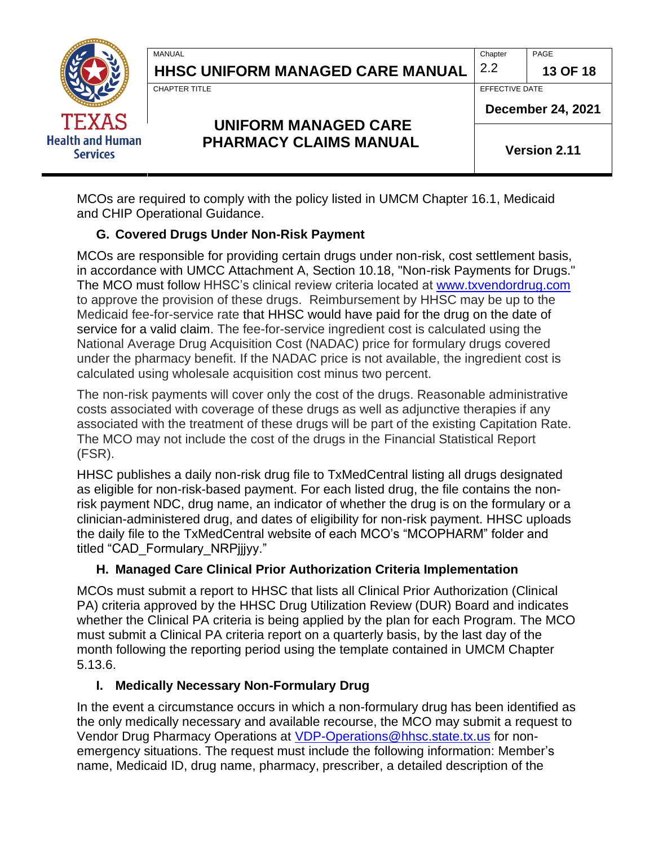|                                            | <b>MANUAL</b><br><b>HHSC UNIFORM MANAGED CARE MANUAL</b>     | Chapter<br>2.2      | PAGE<br>13 OF 18         |
|--------------------------------------------|--------------------------------------------------------------|---------------------|--------------------------|
| <b>TEXAS</b>                               | <b>CHAPTER TITLE</b>                                         | EFFECTIVE DATE      | <b>December 24, 2021</b> |
| <b>Health and Human</b><br><b>Services</b> | <b>UNIFORM MANAGED CARE</b><br><b>PHARMACY CLAIMS MANUAL</b> | <b>Version 2.11</b> |                          |

MCOs are required to comply with the policy listed in UMCM Chapter 16.1, Medicaid and CHIP Operational Guidance.

#### **G. Covered Drugs Under Non-Risk Payment**

MCOs are responsible for providing certain drugs under non-risk, cost settlement basis, in accordance with UMCC Attachment A, Section 10.18, "Non-risk Payments for Drugs." The MCO must follow HHSC's clinical review criteria located at [www.txvendordrug.com](http://www.txvendordrug.com/) to approve the provision of these drugs. Reimbursement by HHSC may be up to the Medicaid fee-for-service rate that HHSC would have paid for the drug on the date of service for a valid claim. The fee-for-service ingredient cost is calculated using the National Average Drug Acquisition Cost (NADAC) price for formulary drugs covered under the pharmacy benefit. If the NADAC price is not available, the ingredient cost is calculated using wholesale acquisition cost minus two percent.

The non-risk payments will cover only the cost of the drugs. Reasonable administrative costs associated with coverage of these drugs as well as adjunctive therapies if any associated with the treatment of these drugs will be part of the existing Capitation Rate. The MCO may not include the cost of the drugs in the Financial Statistical Report (FSR).

HHSC publishes a daily non-risk drug file to TxMedCentral listing all drugs designated as eligible for non-risk-based payment. For each listed drug, the file contains the nonrisk payment NDC, drug name, an indicator of whether the drug is on the formulary or a clinician-administered drug, and dates of eligibility for non-risk payment. HHSC uploads the daily file to the TxMedCentral website of each MCO's "MCOPHARM" folder and titled "CAD\_Formulary\_NRPjjjyy."

#### **H. Managed Care Clinical Prior Authorization Criteria Implementation**

MCOs must submit a report to HHSC that lists all Clinical Prior Authorization (Clinical PA) criteria approved by the HHSC Drug Utilization Review (DUR) Board and indicates whether the Clinical PA criteria is being applied by the plan for each Program. The MCO must submit a Clinical PA criteria report on a quarterly basis, by the last day of the month following the reporting period using the template contained in UMCM Chapter 5.13.6.

#### **I. Medically Necessary Non-Formulary Drug**

In the event a circumstance occurs in which a non-formulary drug has been identified as the only medically necessary and available recourse, the MCO may submit a request to Vendor Drug Pharmacy Operations at [VDP-Operations@hhsc.state.tx.us](mailto:VDP-Operations@hhsc.state.tx.us) for nonemergency situations. The request must include the following information: Member's name, Medicaid ID, drug name, pharmacy, prescriber, a detailed description of the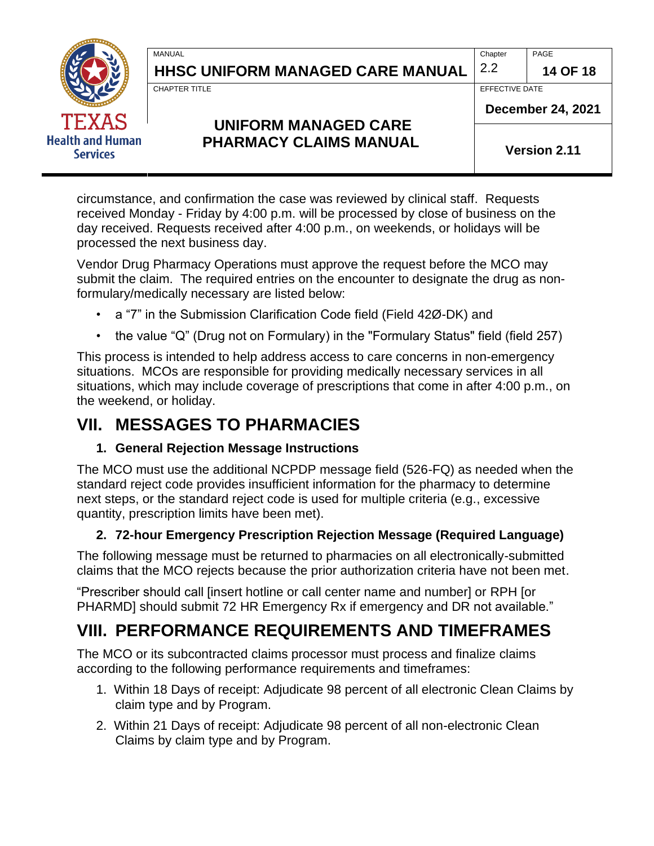

**HHSC UNIFORM MANAGED CARE MANUAL**  $\begin{bmatrix} 2.2 \\ \end{bmatrix}$  14 OF 18

MANUAL PAGE PROPERTY AND RELEASED AT A SERIES OF THE CHAPTER OF PAGE PAGE.

CHAPTER TITLE **EFFECTIVE DATE** 

## **UNIFORM MANAGED CARE PHARMACY CLAIMS MANUAL**

**December 24, 2021**

**Version 2.11**

circumstance, and confirmation the case was reviewed by clinical staff. Requests received Monday - Friday by 4:00 p.m. will be processed by close of business on the day received. Requests received after 4:00 p.m., on weekends, or holidays will be processed the next business day.

Vendor Drug Pharmacy Operations must approve the request before the MCO may submit the claim. The required entries on the encounter to designate the drug as nonformulary/medically necessary are listed below:

- a "7" in the Submission Clarification Code field (Field 42Ø-DK) and
- the value "Q" (Drug not on Formulary) in the "Formulary Status" field (field 257)

This process is intended to help address access to care concerns in non-emergency situations. MCOs are responsible for providing medically necessary services in all situations, which may include coverage of prescriptions that come in after 4:00 p.m., on the weekend, or holiday.

# <span id="page-13-0"></span>**VII. MESSAGES TO PHARMACIES**

#### **1. General Rejection Message Instructions**

The MCO must use the additional NCPDP message field (526-FQ) as needed when the standard reject code provides insufficient information for the pharmacy to determine next steps, or the standard reject code is used for multiple criteria (e.g., excessive quantity, prescription limits have been met).

### **2. 72-hour Emergency Prescription Rejection Message (Required Language)**

The following message must be returned to pharmacies on all electronically-submitted claims that the MCO rejects because the prior authorization criteria have not been met.

"Prescriber should call [insert hotline or call center name and number] or RPH [or PHARMD] should submit 72 HR Emergency Rx if emergency and DR not available."

# <span id="page-13-1"></span>**VIII. PERFORMANCE REQUIREMENTS AND TIMEFRAMES**

The MCO or its subcontracted claims processor must process and finalize claims according to the following performance requirements and timeframes:

- 1. Within 18 Days of receipt: Adjudicate 98 percent of all electronic Clean Claims by claim type and by Program.
- 2. Within 21 Days of receipt: Adjudicate 98 percent of all non-electronic Clean Claims by claim type and by Program.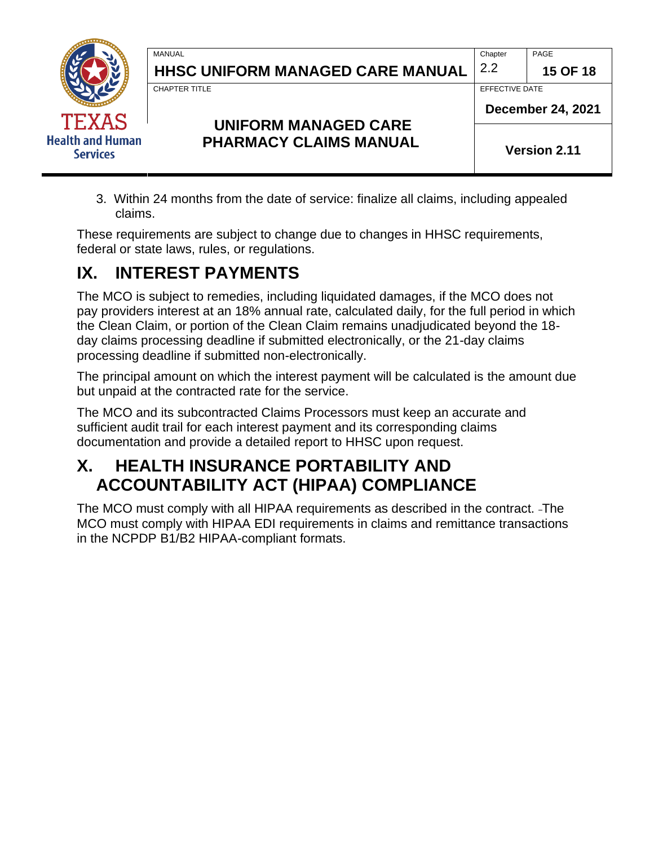| <b>TEXAS</b><br><b>Health and Human</b><br><b>Services</b> | <b>MANUAL</b><br><b>HHSC UNIFORM MANAGED CARE MANUAL</b>     | Chapter<br>2.2      | PAGE<br><b>15 OF 18</b>                    |  |
|------------------------------------------------------------|--------------------------------------------------------------|---------------------|--------------------------------------------|--|
|                                                            | <b>CHAPTER TITLE</b>                                         |                     | EFFECTIVE DATE<br><b>December 24, 2021</b> |  |
|                                                            | <b>UNIFORM MANAGED CARE</b><br><b>PHARMACY CLAIMS MANUAL</b> | <b>Version 2.11</b> |                                            |  |

3. Within 24 months from the date of service: finalize all claims, including appealed claims.

These requirements are subject to change due to changes in HHSC requirements, federal or state laws, rules, or regulations.

## <span id="page-14-0"></span>**IX. INTEREST PAYMENTS**

The MCO is subject to remedies, including liquidated damages, if the MCO does not pay providers interest at an 18% annual rate, calculated daily, for the full period in which the Clean Claim, or portion of the Clean Claim remains unadjudicated beyond the 18 day claims processing deadline if submitted electronically, or the 21-day claims processing deadline if submitted non-electronically.

The principal amount on which the interest payment will be calculated is the amount due but unpaid at the contracted rate for the service.

The MCO and its subcontracted Claims Processors must keep an accurate and sufficient audit trail for each interest payment and its corresponding claims documentation and provide a detailed report to HHSC upon request.

## <span id="page-14-1"></span>**X. HEALTH INSURANCE PORTABILITY AND ACCOUNTABILITY ACT (HIPAA) COMPLIANCE**

The MCO must comply with all HIPAA requirements as described in the contract. The MCO must comply with HIPAA EDI requirements in claims and remittance transactions in the NCPDP B1/B2 HIPAA-compliant formats.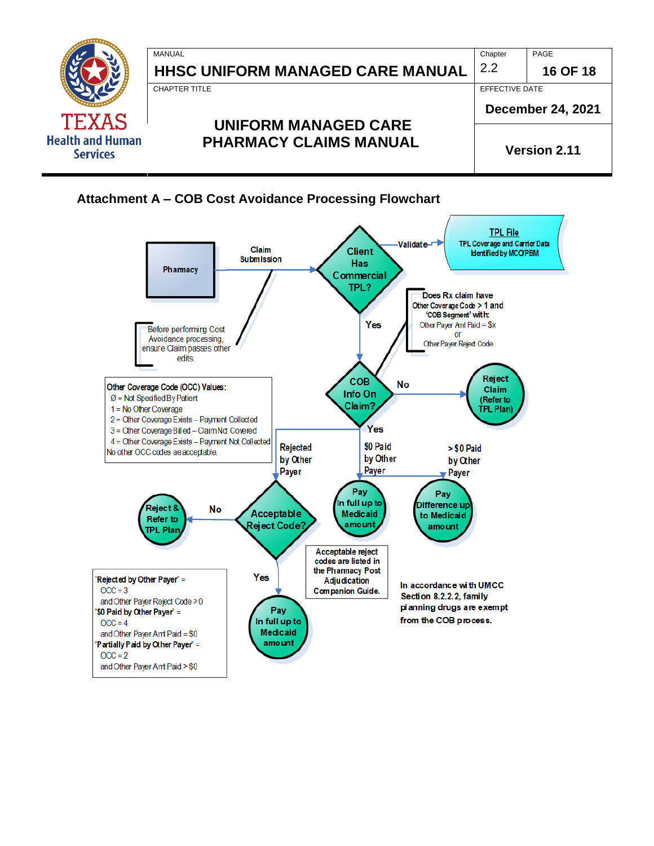

<span id="page-15-0"></span>

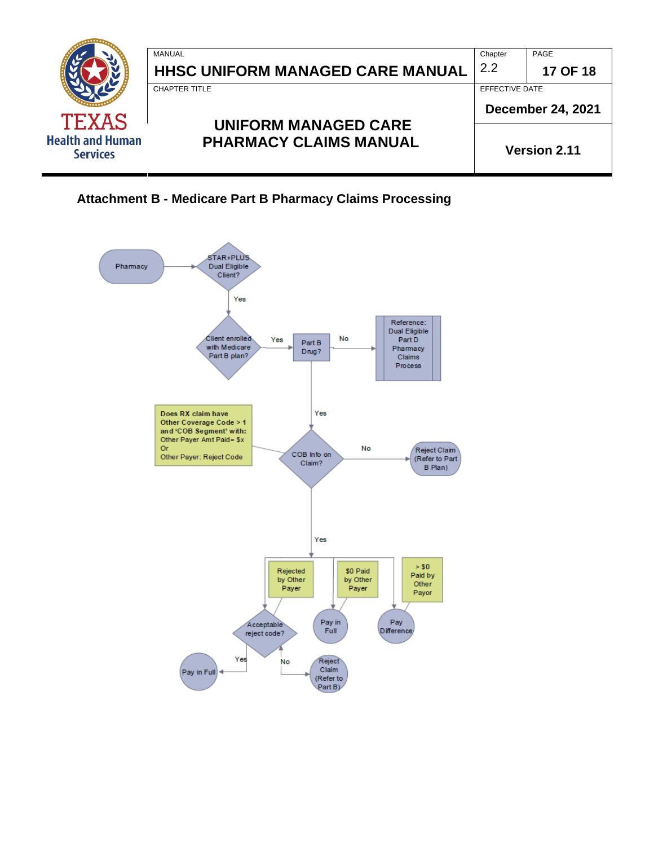

<span id="page-16-0"></span>